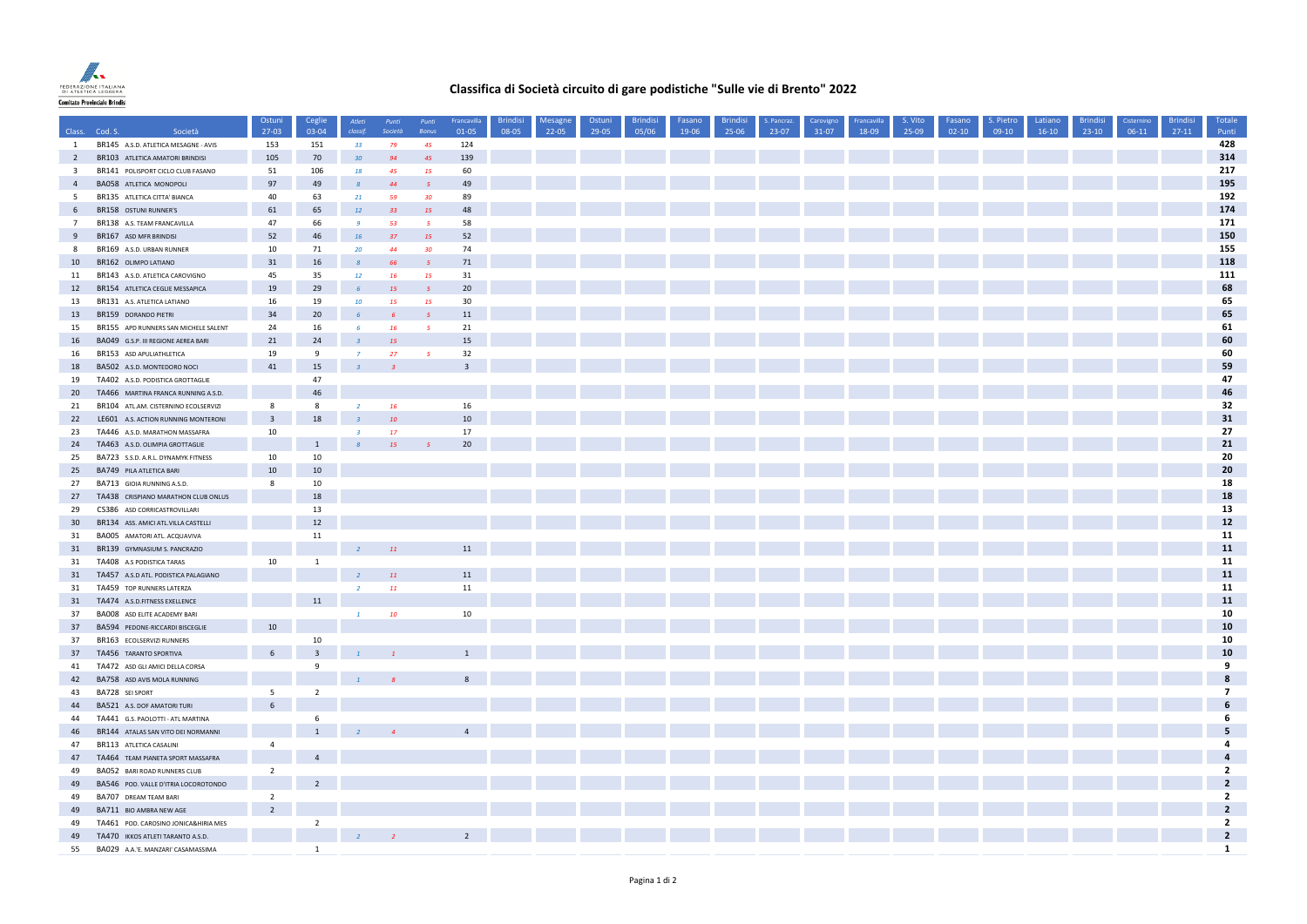

## **Classifica di Società circuito di gare podistiche "Sulle vie di Brento" 2022**

|                         |                                      | Ostuni                           | Ceglie                  | Atleti          | Punti           | Punti                    | Francavilla             | <b>Brindisi</b> | Mesagne   | Ostuni | <b>Brindisi</b> | Fasano | <b>Brindisi</b> | S. Pancraz. | Carovigno | Francavilla | S. Vito | Fasano    | S. Pietro | Latiano | <b>Brindis</b> | Cisternino | <b>Brindisi</b> | Totale                                    |
|-------------------------|--------------------------------------|----------------------------------|-------------------------|-----------------|-----------------|--------------------------|-------------------------|-----------------|-----------|--------|-----------------|--------|-----------------|-------------|-----------|-------------|---------|-----------|-----------|---------|----------------|------------|-----------------|-------------------------------------------|
|                         | Class. Cod. S.<br>Società            | $27-03$                          | 03-04                   | classif.        | Società         | Bonus                    | 01-05                   | 08-05           | $22 - 05$ | 29-05  | 05/06           | 19-06  | 25-06           | 23-07       | $31-07$   | 18-09       | 25-09   | $02 - 10$ | $09-10$   | $16-10$ | $23-10$        | $06-11$    | $27-11$         | Punti                                     |
| $\mathbf{1}$            | BR145 A.S.D. ATLETICA MESAGNE - AVIS | 153                              | 151                     | 33              | 79              | 45                       | 124                     |                 |           |        |                 |        |                 |             |           |             |         |           |           |         |                |            |                 | 428                                       |
| $\overline{2}$          | BR103 ATLETICA AMATORI BRINDISI      | 105                              | 70                      | 30 <sub>2</sub> | 94              | 45                       | 139                     |                 |           |        |                 |        |                 |             |           |             |         |           |           |         |                |            |                 | 314                                       |
| $\overline{\mathbf{3}}$ | BR141 POLISPORT CICLO CLUB FASANO    | 51                               | 106                     | 18              | 45              | 15                       | 60                      |                 |           |        |                 |        |                 |             |           |             |         |           |           |         |                |            |                 | 217                                       |
| $\overline{4}$          | <b>BA058 ATLETICA MONOPOLI</b>       | 97                               | 49                      | $\mathcal{R}$   | 44              | $\overline{5}$           | 49                      |                 |           |        |                 |        |                 |             |           |             |         |           |           |         |                |            |                 | 195                                       |
| 5                       | BR135 ATLETICA CITTA' BIANCA         | 40                               | 63                      | 21              | 59              | 30 <sub>2</sub>          | 89                      |                 |           |        |                 |        |                 |             |           |             |         |           |           |         |                |            |                 | 192                                       |
| 6                       | BR158 OSTUNI RUNNER'S                | 61                               | 65                      | <b>12</b>       | 33              | 15                       | 48                      |                 |           |        |                 |        |                 |             |           |             |         |           |           |         |                |            |                 | 174                                       |
| $7\overline{ }$         | BR138 A.S. TEAM FRANCAVILLA          | 47                               | 66                      | $\overline{9}$  | 53              | $5^{\circ}$              | 58                      |                 |           |        |                 |        |                 |             |           |             |         |           |           |         |                |            |                 | 171                                       |
| 9                       | BR167 ASD MFR BRINDISI               | 52                               | 46                      | <b>16</b>       | 37              | 15                       | 52                      |                 |           |        |                 |        |                 |             |           |             |         |           |           |         |                |            |                 | 150                                       |
| 8                       | BR169 A.S.D. URBAN RUNNER            | 10                               | 71                      | 20              | 44              | 30 <sub>2</sub>          | 74                      |                 |           |        |                 |        |                 |             |           |             |         |           |           |         |                |            |                 | 155                                       |
| 10                      | BR162 OLIMPO LATIANO                 | 31                               | 16                      |                 | 66              | $\overline{5}$           | 71                      |                 |           |        |                 |        |                 |             |           |             |         |           |           |         |                |            |                 | 118                                       |
| 11                      | BR143 A.S.D. ATLETICA CAROVIGNO      | 45                               | 35                      | 12 <sup>°</sup> | 16              | <b>15</b>                | 31                      |                 |           |        |                 |        |                 |             |           |             |         |           |           |         |                |            |                 | 111                                       |
| 12                      | BR154 ATLETICA CEGLIE MESSAPICA      | 19                               | 29                      | -6              | 15              | $\overline{5}$           | 20                      |                 |           |        |                 |        |                 |             |           |             |         |           |           |         |                |            |                 | 68                                        |
| 13                      | BR131 A.S. ATLETICA LATIANO          | 16                               | 19                      | 10              | 15              | <b>15</b>                | 30                      |                 |           |        |                 |        |                 |             |           |             |         |           |           |         |                |            |                 | 65                                        |
| 13                      | BR159 DORANDO PIETRI                 | 34                               | 20                      |                 |                 | 5                        | $11\,$                  |                 |           |        |                 |        |                 |             |           |             |         |           |           |         |                |            |                 | 65                                        |
| 15                      | BR155 APD RUNNERS SAN MICHELE SALENT | 24                               | 16                      | $\mathcal{L}$   | 16              | $\overline{5}$           | 21                      |                 |           |        |                 |        |                 |             |           |             |         |           |           |         |                |            |                 | 61                                        |
| 16                      | BA049 G.S.P. III REGIONE AEREA BARI  | 21                               | 24                      |                 | 15              |                          | 15                      |                 |           |        |                 |        |                 |             |           |             |         |           |           |         |                |            |                 | 60                                        |
| 16                      | BR153 ASD APULIATHLETICA             | 19                               | 9                       |                 | 27              | $\overline{\phantom{a}}$ | 32                      |                 |           |        |                 |        |                 |             |           |             |         |           |           |         |                |            |                 | 60                                        |
| 18                      | BA502 A.S.D. MONTEDORO NOCI          | 41                               | 15                      |                 | $\overline{3}$  |                          | $\overline{\mathbf{3}}$ |                 |           |        |                 |        |                 |             |           |             |         |           |           |         |                |            |                 | 59                                        |
| 19                      | TA402 A.S.D. PODISTICA GROTTAGLIE    |                                  | 47                      |                 |                 |                          |                         |                 |           |        |                 |        |                 |             |           |             |         |           |           |         |                |            |                 | 47                                        |
| 20                      | TA466 MARTINA FRANCA RUNNING A.S.D.  |                                  | 46                      |                 |                 |                          |                         |                 |           |        |                 |        |                 |             |           |             |         |           |           |         |                |            |                 | 46                                        |
| 21                      | BR104 ATL.AM. CISTERNINO ECOLSERVIZI | 8                                | 8                       | $\overline{2}$  | 16              |                          | 16                      |                 |           |        |                 |        |                 |             |           |             |         |           |           |         |                |            |                 | 32                                        |
| 22                      | LE601 A.S. ACTION RUNNING MONTERONI  | $\overline{\mathbf{3}}$          | 18                      |                 | 10              |                          | 10                      |                 |           |        |                 |        |                 |             |           |             |         |           |           |         |                |            |                 | 31                                        |
| 23                      | TA446 A.S.D. MARATHON MASSAFRA       | 10                               |                         | $\overline{3}$  | 17 <sup>2</sup> |                          | 17                      |                 |           |        |                 |        |                 |             |           |             |         |           |           |         |                |            |                 | 27                                        |
| 24                      | TA463 A.S.D. OLIMPIA GROTTAGLIE      |                                  | $\mathbf{1}$            |                 | 15              |                          | 20                      |                 |           |        |                 |        |                 |             |           |             |         |           |           |         |                |            |                 | 21                                        |
| 25                      | BA723 S.S.D. A.R.L. DYNAMYK FITNESS  | 10                               | 10                      |                 |                 |                          |                         |                 |           |        |                 |        |                 |             |           |             |         |           |           |         |                |            |                 | 20                                        |
| 25                      | BA749 PILA ATLETICA BARI             | 10                               | 10                      |                 |                 |                          |                         |                 |           |        |                 |        |                 |             |           |             |         |           |           |         |                |            |                 | 20                                        |
| 27                      | BA713 GIOIA RUNNING A.S.D.           | 8                                | 10                      |                 |                 |                          |                         |                 |           |        |                 |        |                 |             |           |             |         |           |           |         |                |            |                 | 18                                        |
| 27                      | TA438 CRISPIANO MARATHON CLUB ONLUS  |                                  | $18\,$                  |                 |                 |                          |                         |                 |           |        |                 |        |                 |             |           |             |         |           |           |         |                |            |                 | 18                                        |
| 29                      | CS386 ASD CORRICASTROVILLARI         |                                  | 13                      |                 |                 |                          |                         |                 |           |        |                 |        |                 |             |           |             |         |           |           |         |                |            |                 | 13                                        |
| 30 <sub>o</sub>         | BR134 ASS. AMICI ATL.VILLA CASTELLI  |                                  | 12                      |                 |                 |                          |                         |                 |           |        |                 |        |                 |             |           |             |         |           |           |         |                |            |                 | 12                                        |
| 31                      | BA005 AMATORI ATL. ACQUAVIVA         |                                  | 11                      |                 |                 |                          |                         |                 |           |        |                 |        |                 |             |           |             |         |           |           |         |                |            |                 | 11                                        |
| 31                      | BR139 GYMNASIUM S. PANCRAZIO         |                                  |                         | $\overline{2}$  | 11              |                          | $11\,$                  |                 |           |        |                 |        |                 |             |           |             |         |           |           |         |                |            |                 | 11                                        |
| 31                      | TA408 A.S PODISTICA TARAS            | 10                               | $\mathbf{1}$            |                 |                 |                          |                         |                 |           |        |                 |        |                 |             |           |             |         |           |           |         |                |            |                 | 11                                        |
| 31                      | TA457 A.S.D ATL. PODISTICA PALAGIANO |                                  |                         | $\overline{2}$  | <b>11</b>       |                          | 11                      |                 |           |        |                 |        |                 |             |           |             |         |           |           |         |                |            |                 | 11                                        |
| 31                      | TA459 TOP RUNNERS LATERZA            |                                  |                         | $\overline{2}$  | <b>11</b>       |                          | $11\,$                  |                 |           |        |                 |        |                 |             |           |             |         |           |           |         |                |            |                 | 11                                        |
| 31                      | TA474 A.S.D.FITNESS EXELLENCE        |                                  | $11\,$                  |                 |                 |                          |                         |                 |           |        |                 |        |                 |             |           |             |         |           |           |         |                |            |                 | 11                                        |
| 37                      | BA008 ASD ELITE ACADEMY BARI         |                                  |                         | $\mathbf{1}$    | 10              |                          | 10                      |                 |           |        |                 |        |                 |             |           |             |         |           |           |         |                |            |                 | 10                                        |
| 37                      | BA594 PEDONE-RICCARDI BISCEGLIE      | 10                               |                         |                 |                 |                          |                         |                 |           |        |                 |        |                 |             |           |             |         |           |           |         |                |            |                 | 10                                        |
| 37                      | BR163 ECOLSERVIZI RUNNERS            |                                  | 10                      |                 |                 |                          |                         |                 |           |        |                 |        |                 |             |           |             |         |           |           |         |                |            |                 | 10                                        |
| 37                      | TA456 TARANTO SPORTIVA               | $6\phantom{.}6$                  | $\overline{\mathbf{3}}$ | $\blacksquare$  |                 |                          | $1\,$                   |                 |           |        |                 |        |                 |             |           |             |         |           |           |         |                |            |                 | 10                                        |
| 41                      | TA472 ASD GLI AMICI DELLA CORSA      |                                  | 9                       |                 |                 |                          |                         |                 |           |        |                 |        |                 |             |           |             |         |           |           |         |                |            |                 | 9                                         |
| 42                      | BA758 ASD AVIS MOLA RUNNING          |                                  |                         | $\mathbf{1}$    |                 |                          | 8                       |                 |           |        |                 |        |                 |             |           |             |         |           |           |         |                |            |                 | 8                                         |
| 43                      | BA728 SEI SPORT                      | 5                                | $\overline{2}$          |                 |                 |                          |                         |                 |           |        |                 |        |                 |             |           |             |         |           |           |         |                |            |                 | $\overline{7}$                            |
| 44                      | BA521 A.S. DOF AMATORI TURI          | $6\overline{6}$                  |                         |                 |                 |                          |                         |                 |           |        |                 |        |                 |             |           |             |         |           |           |         |                |            |                 | 6                                         |
| 44                      |                                      |                                  | 6                       |                 |                 |                          |                         |                 |           |        |                 |        |                 |             |           |             |         |           |           |         |                |            |                 | 6                                         |
|                         | TA441 G.S. PAOLOTTI - ATL MARTINA    |                                  | $\overline{1}$          |                 |                 |                          | $\overline{4}$          |                 |           |        |                 |        |                 |             |           |             |         |           |           |         |                |            |                 | 5                                         |
| 46                      | BR144 ATALAS SAN VITO DEI NORMANNI   |                                  |                         |                 |                 |                          |                         |                 |           |        |                 |        |                 |             |           |             |         |           |           |         |                |            |                 | 4                                         |
| 47                      | BR113 ATLETICA CASALINI              | $\overline{4}$                   | $\overline{4}$          |                 |                 |                          |                         |                 |           |        |                 |        |                 |             |           |             |         |           |           |         |                |            |                 | $\overline{4}$                            |
| 47<br>49                | TA464 TEAM PIANETA SPORT MASSAFRA    | $\overline{2}$                   |                         |                 |                 |                          |                         |                 |           |        |                 |        |                 |             |           |             |         |           |           |         |                |            |                 | $\overline{2}$                            |
|                         | BA052 BARI ROAD RUNNERS CLUB         |                                  |                         |                 |                 |                          |                         |                 |           |        |                 |        |                 |             |           |             |         |           |           |         |                |            |                 | $\overline{\mathbf{2}}$                   |
| 49                      | BA546 POD. VALLE D'ITRIA LOCOROTONDO |                                  | $2^{\circ}$             |                 |                 |                          |                         |                 |           |        |                 |        |                 |             |           |             |         |           |           |         |                |            |                 |                                           |
| 49                      | BA707 DREAM TEAM BARI                | $\overline{2}$<br>$\overline{2}$ |                         |                 |                 |                          |                         |                 |           |        |                 |        |                 |             |           |             |         |           |           |         |                |            |                 | $\overline{\mathbf{2}}$<br>$\overline{2}$ |
| 49                      | BA711 BIO AMBRA NEW AGE              |                                  |                         |                 |                 |                          |                         |                 |           |        |                 |        |                 |             |           |             |         |           |           |         |                |            |                 |                                           |
| 49                      | TA461 POD. CAROSINO JONICA&HIRIA MES |                                  | $\overline{2}$          |                 |                 |                          |                         |                 |           |        |                 |        |                 |             |           |             |         |           |           |         |                |            |                 | $\overline{2}$                            |
| 49                      | TA470 IKKOS ATLETI TARANTO A.S.D.    |                                  |                         | $\overline{2}$  | $\sim$ 2        |                          | $\overline{2}$          |                 |           |        |                 |        |                 |             |           |             |         |           |           |         |                |            |                 | $\overline{\mathbf{2}}$                   |
| 55                      | BA029 A.A.'E. MANZARI' CASAMASSIMA   |                                  | $\overline{1}$          |                 |                 |                          |                         |                 |           |        |                 |        |                 |             |           |             |         |           |           |         |                |            |                 | $\mathbf{1}$                              |